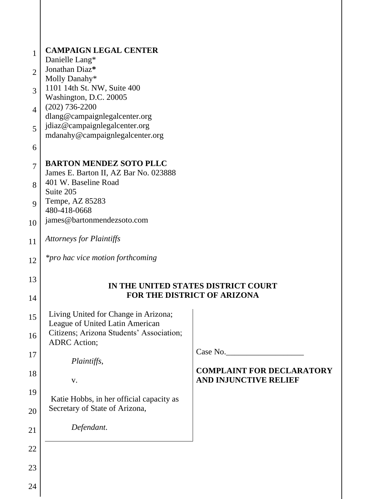| 1<br>$\overline{2}$<br>3<br>$\overline{4}$<br>5<br>6 | <b>CAMPAIGN LEGAL CENTER</b><br>Danielle Lang*<br>Jonathan Diaz*<br>Molly Danahy*<br>1101 14th St. NW, Suite 400<br>Washington, D.C. 20005<br>$(202)$ 736-2200<br>dlang@campaignlegalcenter.org<br>jdiaz@campaignlegalcenter.org<br>mdanahy@campaignlegalcenter.org |                                                                  |
|------------------------------------------------------|---------------------------------------------------------------------------------------------------------------------------------------------------------------------------------------------------------------------------------------------------------------------|------------------------------------------------------------------|
| $\overline{7}$<br>8<br>9                             | <b>BARTON MENDEZ SOTO PLLC</b><br>James E. Barton II, AZ Bar No. 023888<br>401 W. Baseline Road<br>Suite 205<br>Tempe, AZ 85283                                                                                                                                     |                                                                  |
| 10                                                   | 480-418-0668<br>james@bartonmendezsoto.com                                                                                                                                                                                                                          |                                                                  |
| 11                                                   | <b>Attorneys for Plaintiffs</b>                                                                                                                                                                                                                                     |                                                                  |
| 12                                                   | <i>*pro hac vice motion forthcoming</i>                                                                                                                                                                                                                             |                                                                  |
| 13                                                   | IN THE UNITED STATES DISTRICT COURT                                                                                                                                                                                                                                 |                                                                  |
| 14                                                   |                                                                                                                                                                                                                                                                     | <b>FOR THE DISTRICT OF ARIZONA</b>                               |
| 15                                                   | Living United for Change in Arizona;<br>League of United Latin American<br>Citizens; Arizona Students' Association;                                                                                                                                                 |                                                                  |
| 16<br>17                                             | <b>ADRC</b> Action;                                                                                                                                                                                                                                                 | Case No.                                                         |
| 18                                                   | Plaintiffs,<br>V.                                                                                                                                                                                                                                                   | <b>COMPLAINT FOR DECLARATORY</b><br><b>AND INJUNCTIVE RELIEF</b> |
| 19                                                   | Katie Hobbs, in her official capacity as                                                                                                                                                                                                                            |                                                                  |
| 20                                                   | Secretary of State of Arizona,                                                                                                                                                                                                                                      |                                                                  |
| 21                                                   | Defendant.                                                                                                                                                                                                                                                          |                                                                  |
| 22                                                   |                                                                                                                                                                                                                                                                     |                                                                  |
| 23                                                   |                                                                                                                                                                                                                                                                     |                                                                  |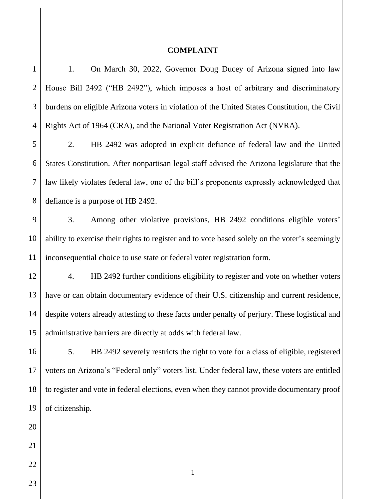## **COMPLAINT**

| $\mathbf{1}$   | 1.<br>On March 30, 2022, Governor Doug Ducey of Arizona signed into law                        |  |  |
|----------------|------------------------------------------------------------------------------------------------|--|--|
| $\overline{2}$ | House Bill 2492 ("HB 2492"), which imposes a host of arbitrary and discriminatory              |  |  |
| 3              | burdens on eligible Arizona voters in violation of the United States Constitution, the Civil   |  |  |
| 4              | Rights Act of 1964 (CRA), and the National Voter Registration Act (NVRA).                      |  |  |
| 5              | HB 2492 was adopted in explicit defiance of federal law and the United<br>2.                   |  |  |
| 6              | States Constitution. After nonpartisan legal staff advised the Arizona legislature that the    |  |  |
| $\overline{7}$ | law likely violates federal law, one of the bill's proponents expressly acknowledged that      |  |  |
| 8              | defiance is a purpose of HB 2492.                                                              |  |  |
| 9              | 3.<br>Among other violative provisions, HB 2492 conditions eligible voters'                    |  |  |
| 10             | ability to exercise their rights to register and to vote based solely on the voter's seemingly |  |  |
| 11             | inconsequential choice to use state or federal voter registration form.                        |  |  |
| 12             | HB 2492 further conditions eligibility to register and vote on whether voters<br>4.            |  |  |
| 13             | have or can obtain documentary evidence of their U.S. citizenship and current residence,       |  |  |
| 14             | despite voters already attesting to these facts under penalty of perjury. These logistical and |  |  |
| 15             | administrative barriers are directly at odds with federal law.                                 |  |  |
| 16             | HB 2492 severely restricts the right to vote for a class of eligible, registered<br>5.         |  |  |
| 17             | voters on Arizona's "Federal only" voters list. Under federal law, these voters are entitled   |  |  |
| 18             | to register and vote in federal elections, even when they cannot provide documentary proof     |  |  |
| 19             | of citizenship.                                                                                |  |  |
| 20             |                                                                                                |  |  |
| 21             |                                                                                                |  |  |
| 22             | $\mathbf{1}$                                                                                   |  |  |
| 23             |                                                                                                |  |  |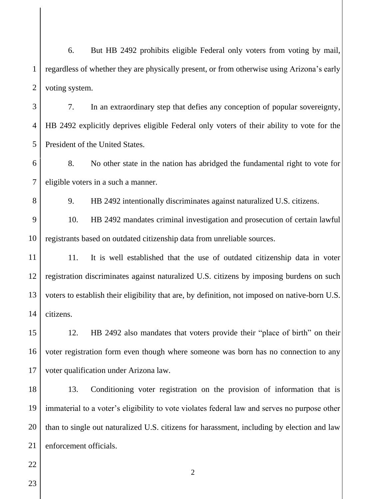1  $\mathcal{D}_{\mathcal{L}}$ 6. But HB 2492 prohibits eligible Federal only voters from voting by mail, regardless of whether they are physically present, or from otherwise using Arizona's early voting system.

3 4 5 7. In an extraordinary step that defies any conception of popular sovereignty, HB 2492 explicitly deprives eligible Federal only voters of their ability to vote for the President of the United States.

6 7 8. No other state in the nation has abridged the fundamental right to vote for eligible voters in a such a manner.

9. HB 2492 intentionally discriminates against naturalized U.S. citizens.

9 10 10. HB 2492 mandates criminal investigation and prosecution of certain lawful registrants based on outdated citizenship data from unreliable sources.

11 12 13 14 11. It is well established that the use of outdated citizenship data in voter registration discriminates against naturalized U.S. citizens by imposing burdens on such voters to establish their eligibility that are, by definition, not imposed on native-born U.S. citizens.

15 16 17 12. HB 2492 also mandates that voters provide their "place of birth" on their voter registration form even though where someone was born has no connection to any voter qualification under Arizona law.

18 19 20 21 13. Conditioning voter registration on the provision of information that is immaterial to a voter's eligibility to vote violates federal law and serves no purpose other than to single out naturalized U.S. citizens for harassment, including by election and law enforcement officials.

2

22

8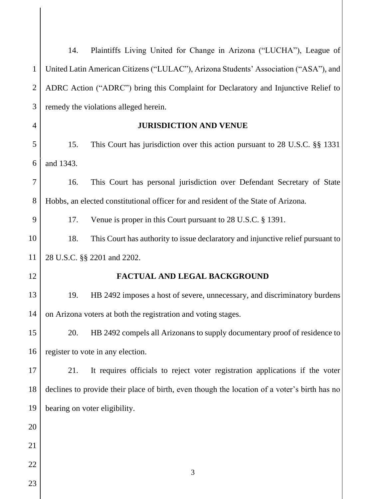|                | 14.                                                                                | Plaintiffs Living United for Change in Arizona ("LUCHA"), League of                          |  |  |  |
|----------------|------------------------------------------------------------------------------------|----------------------------------------------------------------------------------------------|--|--|--|
| $\mathbf{1}$   |                                                                                    | United Latin American Citizens ("LULAC"), Arizona Students' Association ("ASA"), and         |  |  |  |
| $\overline{2}$ | ADRC Action ("ADRC") bring this Complaint for Declaratory and Injunctive Relief to |                                                                                              |  |  |  |
| 3              |                                                                                    | remedy the violations alleged herein.                                                        |  |  |  |
| $\overline{4}$ |                                                                                    | <b>JURISDICTION AND VENUE</b>                                                                |  |  |  |
| 5              | 15.                                                                                | This Court has jurisdiction over this action pursuant to 28 U.S.C. §§ 1331                   |  |  |  |
| 6              | and 1343.                                                                          |                                                                                              |  |  |  |
| $\tau$         | 16.                                                                                | This Court has personal jurisdiction over Defendant Secretary of State                       |  |  |  |
| 8              |                                                                                    | Hobbs, an elected constitutional officer for and resident of the State of Arizona.           |  |  |  |
| 9              | 17.                                                                                | Venue is proper in this Court pursuant to 28 U.S.C. § 1391.                                  |  |  |  |
| 10             | 18.                                                                                | This Court has authority to issue declaratory and injunctive relief pursuant to              |  |  |  |
| 11             | 28 U.S.C. §§ 2201 and 2202.                                                        |                                                                                              |  |  |  |
| 12             |                                                                                    | FACTUAL AND LEGAL BACKGROUND                                                                 |  |  |  |
| 13             | 19.                                                                                | HB 2492 imposes a host of severe, unnecessary, and discriminatory burdens                    |  |  |  |
| 14             | on Arizona voters at both the registration and voting stages.                      |                                                                                              |  |  |  |
| 15             | 20.                                                                                | HB 2492 compels all Arizonans to supply documentary proof of residence to                    |  |  |  |
| 16             | register to vote in any election.                                                  |                                                                                              |  |  |  |
| 17             | 21.                                                                                | It requires officials to reject voter registration applications if the voter                 |  |  |  |
| 18             |                                                                                    | declines to provide their place of birth, even though the location of a voter's birth has no |  |  |  |
| 19             |                                                                                    | bearing on voter eligibility.                                                                |  |  |  |
| 20             |                                                                                    |                                                                                              |  |  |  |
| 21             |                                                                                    |                                                                                              |  |  |  |
| 22             |                                                                                    | 3                                                                                            |  |  |  |
| 23             |                                                                                    |                                                                                              |  |  |  |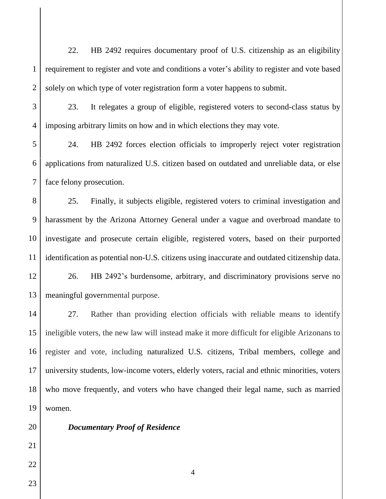1  $\mathcal{D}_{\mathcal{L}}$ 22. HB 2492 requires documentary proof of U.S. citizenship as an eligibility requirement to register and vote and conditions a voter's ability to register and vote based solely on which type of voter registration form a voter happens to submit.

3

4

23. It relegates a group of eligible, registered voters to second-class status by imposing arbitrary limits on how and in which elections they may vote.

5 6 7 24. HB 2492 forces election officials to improperly reject voter registration applications from naturalized U.S. citizen based on outdated and unreliable data, or else face felony prosecution.

8 9 10 11 25. Finally, it subjects eligible, registered voters to criminal investigation and harassment by the Arizona Attorney General under a vague and overbroad mandate to investigate and prosecute certain eligible, registered voters, based on their purported identification as potential non-U.S. citizens using inaccurate and outdated citizenship data.

12 13 26. HB 2492's burdensome, arbitrary, and discriminatory provisions serve no meaningful governmental purpose.

14 15 16 17 18 19 27. Rather than providing election officials with reliable means to identify ineligible voters, the new law will instead make it more difficult for eligible Arizonans to register and vote, including naturalized U.S. citizens, Tribal members, college and university students, low-income voters, elderly voters, racial and ethnic minorities, voters who move frequently, and voters who have changed their legal name, such as married women.

20 21 22

23

# *Documentary Proof of Residence*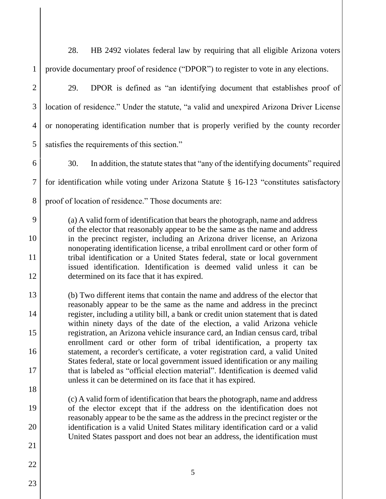28. HB 2492 violates federal law by requiring that all eligible Arizona voters provide documentary proof of residence ("DPOR") to register to vote in any elections.

 $\mathfrak{D}$ 

3

4

5

9

10

11

12

13

14

15

16

17

18

19

20

21

22

1

29. DPOR is defined as "an identifying document that establishes proof of location of residence." Under the statute, "a valid and unexpired Arizona Driver License or nonoperating identification number that is properly verified by the county recorder satisfies the requirements of this section."

6 7 8 30. In addition, the statute states that "any of the identifying documents" required for identification while voting under Arizona Statute § 16-123 "constitutes satisfactory proof of location of residence." Those documents are:

(a) A valid form of identification that bears the photograph, name and address of the elector that reasonably appear to be the same as the name and address in the precinct register, including an Arizona driver license, an Arizona nonoperating identification license, a tribal enrollment card or other form of tribal identification or a United States federal, state or local government issued identification. Identification is deemed valid unless it can be determined on its face that it has expired.

(b) Two different items that contain the name and address of the elector that reasonably appear to be the same as the name and address in the precinct register, including a utility bill, a bank or credit union statement that is dated within ninety days of the date of the election, a valid Arizona vehicle registration, an Arizona vehicle insurance card, an Indian census card, tribal enrollment card or other form of tribal identification, a property tax statement, a recorder's certificate, a voter registration card, a valid United States federal, state or local government issued identification or any mailing that is labeled as "official election material". Identification is deemed valid unless it can be determined on its face that it has expired.

(c) A valid form of identification that bears the photograph, name and address of the elector except that if the address on the identification does not reasonably appear to be the same as the address in the precinct register or the identification is a valid United States military identification card or a valid United States passport and does not bear an address, the identification must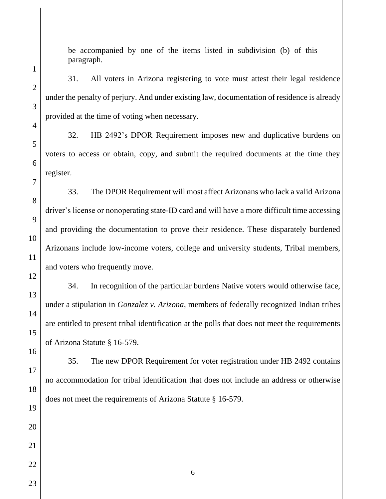be accompanied by one of the items listed in subdivision (b) of this paragraph.

# 31. All voters in Arizona registering to vote must attest their legal residence under the penalty of perjury. And under existing law, documentation of residence is already provided at the time of voting when necessary.

32. HB 2492's DPOR Requirement imposes new and duplicative burdens on voters to access or obtain, copy, and submit the required documents at the time they register.

33. The DPOR Requirement will most affect Arizonans who lack a valid Arizona driver's license or nonoperating state-ID card and will have a more difficult time accessing and providing the documentation to prove their residence. These disparately burdened Arizonans include low-income voters, college and university students, Tribal members, and voters who frequently move.

34. In recognition of the particular burdens Native voters would otherwise face, under a stipulation in *Gonzalez v. Arizona*, members of federally recognized Indian tribes are entitled to present tribal identification at the polls that does not meet the requirements of Arizona Statute § 16-579.

35. The new DPOR Requirement for voter registration under HB 2492 contains no accommodation for tribal identification that does not include an address or otherwise does not meet the requirements of Arizona Statute § 16-579.

1

 $\mathcal{D}_{\mathcal{L}}$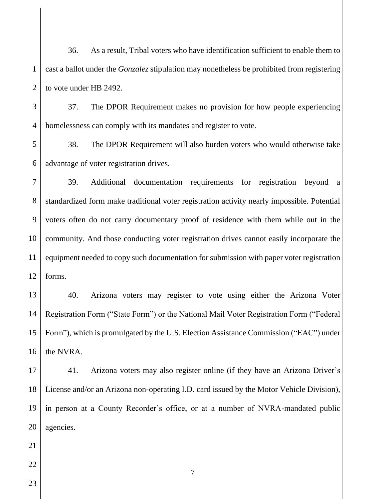1  $\mathcal{D}_{\mathcal{L}}$ 36. As a result, Tribal voters who have identification sufficient to enable them to cast a ballot under the *Gonzalez* stipulation may nonetheless be prohibited from registering to vote under HB 2492.

3 4 37. The DPOR Requirement makes no provision for how people experiencing homelessness can comply with its mandates and register to vote.

5 6 38. The DPOR Requirement will also burden voters who would otherwise take advantage of voter registration drives.

7 8 9 10 11 12 39. Additional documentation requirements for registration beyond a standardized form make traditional voter registration activity nearly impossible. Potential voters often do not carry documentary proof of residence with them while out in the community. And those conducting voter registration drives cannot easily incorporate the equipment needed to copy such documentation for submission with paper voter registration forms.

13 14 15 16 40. Arizona voters may register to vote using either the Arizona Voter Registration Form ("State Form") or the National Mail Voter Registration Form ("Federal Form"), which is promulgated by the U.S. Election Assistance Commission ("EAC") under the NVRA.

17 18 19 20 41. Arizona voters may also register online (if they have an Arizona Driver's License and/or an Arizona non-operating I.D. card issued by the Motor Vehicle Division), in person at a County Recorder's office, or at a number of NVRA-mandated public agencies.

- 21 22
- 23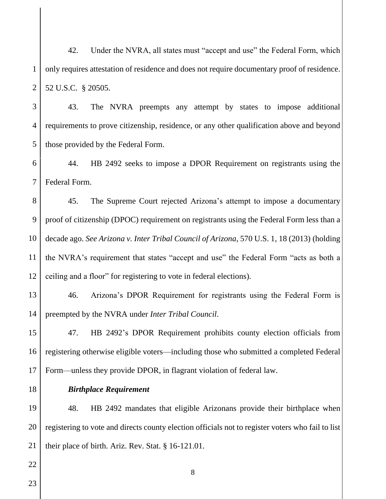1  $\mathcal{D}_{\mathcal{L}}$ 42. Under the NVRA, all states must "accept and use" the Federal Form, which only requires attestation of residence and does not require documentary proof of residence. 52 U.S.C. § 20505.

3 4 5 43. The NVRA preempts any attempt by states to impose additional requirements to prove citizenship, residence, or any other qualification above and beyond those provided by the Federal Form.

6 7 44. HB 2492 seeks to impose a DPOR Requirement on registrants using the Federal Form.

8 9 10 11 12 45. The Supreme Court rejected Arizona's attempt to impose a documentary proof of citizenship (DPOC) requirement on registrants using the Federal Form less than a decade ago. *See Arizona v. Inter Tribal Council of Arizona*, 570 U.S. 1, 18 (2013) (holding the NVRA's requirement that states "accept and use" the Federal Form "acts as both a ceiling and a floor" for registering to vote in federal elections).

13 14 46. Arizona's DPOR Requirement for registrants using the Federal Form is preempted by the NVRA under *Inter Tribal Council*.

15 16 17 47. HB 2492's DPOR Requirement prohibits county election officials from registering otherwise eligible voters—including those who submitted a completed Federal Form—unless they provide DPOR, in flagrant violation of federal law.

18

#### *Birthplace Requirement*

19 20 21 48. HB 2492 mandates that eligible Arizonans provide their birthplace when registering to vote and directs county election officials not to register voters who fail to list their place of birth. Ariz. Rev. Stat. § 16-121.01.

8

23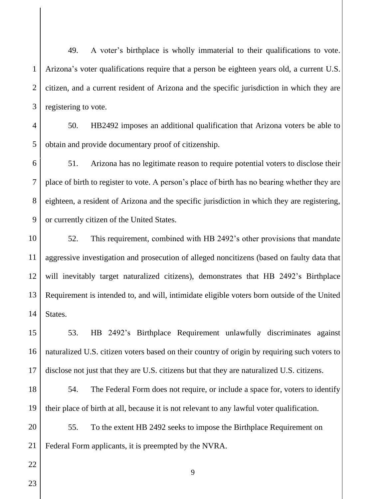1  $\mathcal{D}_{\mathcal{L}}$ 3 49. A voter's birthplace is wholly immaterial to their qualifications to vote. Arizona's voter qualifications require that a person be eighteen years old, a current U.S. citizen, and a current resident of Arizona and the specific jurisdiction in which they are registering to vote.

4 5 50. HB2492 imposes an additional qualification that Arizona voters be able to obtain and provide documentary proof of citizenship.

6 7 8 9 51. Arizona has no legitimate reason to require potential voters to disclose their place of birth to register to vote. A person's place of birth has no bearing whether they are eighteen, a resident of Arizona and the specific jurisdiction in which they are registering, or currently citizen of the United States.

10 11 12 13 14 52. This requirement, combined with HB 2492's other provisions that mandate aggressive investigation and prosecution of alleged noncitizens (based on faulty data that will inevitably target naturalized citizens), demonstrates that HB 2492's Birthplace Requirement is intended to, and will, intimidate eligible voters born outside of the United States.

15 16 17 53. HB 2492's Birthplace Requirement unlawfully discriminates against naturalized U.S. citizen voters based on their country of origin by requiring such voters to disclose not just that they are U.S. citizens but that they are naturalized U.S. citizens.

18 19 54. The Federal Form does not require, or include a space for, voters to identify their place of birth at all, because it is not relevant to any lawful voter qualification.

9

20 21 55. To the extent HB 2492 seeks to impose the Birthplace Requirement on Federal Form applicants, it is preempted by the NVRA.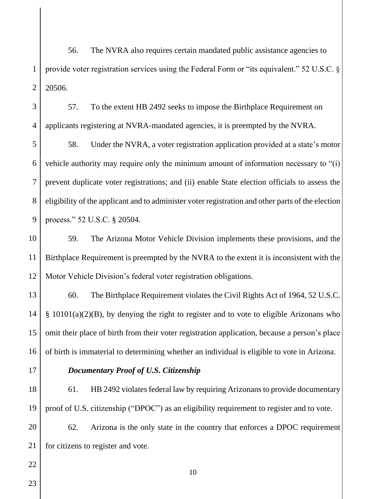1  $\mathcal{D}_{\mathcal{L}}$ 56. The NVRA also requires certain mandated public assistance agencies to provide voter registration services using the Federal Form or "its equivalent." 52 U.S.C. § 20506.

3 4 57. To the extent HB 2492 seeks to impose the Birthplace Requirement on applicants registering at NVRA-mandated agencies, it is preempted by the NVRA.

5 6 7 8 9 58. Under the NVRA, a voter registration application provided at a state's motor vehicle authority may require only the minimum amount of information necessary to "(i) prevent duplicate voter registrations; and (ii) enable State election officials to assess the eligibility of the applicant and to administer voter registration and other parts of the election process." 52 U.S.C. § 20504.

10 11 12 59. The Arizona Motor Vehicle Division implements these provisions, and the Birthplace Requirement is preempted by the NVRA to the extent it is inconsistent with the Motor Vehicle Division's federal voter registration obligations.

13 14 15 16 60. The Birthplace Requirement violates the Civil Rights Act of 1964, 52 U.S.C. § 10101(a)(2)(B), by denying the right to register and to vote to eligible Arizonans who omit their place of birth from their voter registration application, because a person's place of birth is immaterial to determining whether an individual is eligible to vote in Arizona.

17

#### *Documentary Proof of U.S. Citizenship*

18 19 61. HB 2492 violates federal law by requiring Arizonans to provide documentary proof of U.S. citizenship ("DPOC") as an eligibility requirement to register and to vote.

20 21 62. Arizona is the only state in the country that enforces a DPOC requirement for citizens to register and vote.

10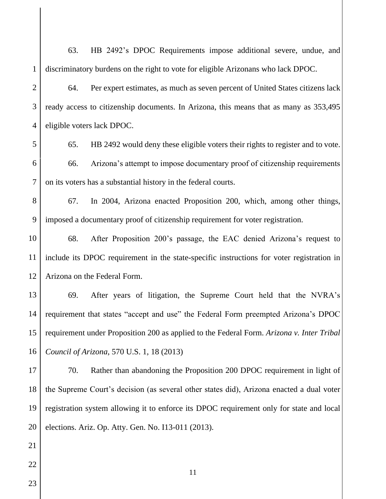1  $\mathfrak{D}$ 3 4 5 63. HB 2492's DPOC Requirements impose additional severe, undue, and discriminatory burdens on the right to vote for eligible Arizonans who lack DPOC. 64. Per expert estimates, as much as seven percent of United States citizens lack ready access to citizenship documents. In Arizona, this means that as many as 353,495 eligible voters lack DPOC. 65. HB 2492 would deny these eligible voters their rights to register and to vote.

6 7 66. Arizona's attempt to impose documentary proof of citizenship requirements on its voters has a substantial history in the federal courts.

8 9 67. In 2004, Arizona enacted Proposition 200, which, among other things, imposed a documentary proof of citizenship requirement for voter registration.

10 11 12 68. After Proposition 200's passage, the EAC denied Arizona's request to include its DPOC requirement in the state-specific instructions for voter registration in Arizona on the Federal Form.

13 14 15 16 69. After years of litigation, the Supreme Court held that the NVRA's requirement that states "accept and use" the Federal Form preempted Arizona's DPOC requirement under Proposition 200 as applied to the Federal Form. *Arizona v. Inter Tribal Council of Arizona*, 570 U.S. 1, 18 (2013)

17 18 19 20 70. Rather than abandoning the Proposition 200 DPOC requirement in light of the Supreme Court's decision (as several other states did), Arizona enacted a dual voter registration system allowing it to enforce its DPOC requirement only for state and local elections. Ariz. Op. Atty. Gen. No. I13-011 (2013).

22

21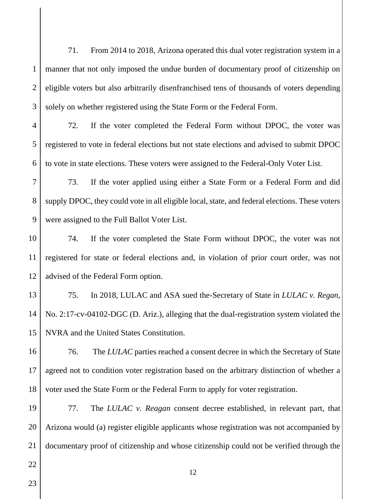3 71. From 2014 to 2018, Arizona operated this dual voter registration system in a manner that not only imposed the undue burden of documentary proof of citizenship on eligible voters but also arbitrarily disenfranchised tens of thousands of voters depending solely on whether registered using the State Form or the Federal Form.

4 5 6 72. If the voter completed the Federal Form without DPOC, the voter was registered to vote in federal elections but not state elections and advised to submit DPOC to vote in state elections. These voters were assigned to the Federal-Only Voter List.

7 8 9 73. If the voter applied using either a State Form or a Federal Form and did supply DPOC, they could vote in all eligible local, state, and federal elections. These voters were assigned to the Full Ballot Voter List.

10 11 12 74. If the voter completed the State Form without DPOC, the voter was not registered for state or federal elections and, in violation of prior court order, was not advised of the Federal Form option.

13 14 15 75. In 2018, LULAC and ASA sued the-Secretary of State in *LULAC v. Regan*, No. 2:17-cv-04102-DGC (D. Ariz.), alleging that the dual-registration system violated the NVRA and the United States Constitution.

16 17 18 76. The *LULAC* parties reached a consent decree in which the Secretary of State agreed not to condition voter registration based on the arbitrary distinction of whether a voter used the State Form or the Federal Form to apply for voter registration.

19 20 21 77. The *LULAC v. Reagan* consent decree established, in relevant part, that Arizona would (a) register eligible applicants whose registration was not accompanied by documentary proof of citizenship and whose citizenship could not be verified through the

12

23

22

1

 $\mathcal{D}_{\mathcal{L}}$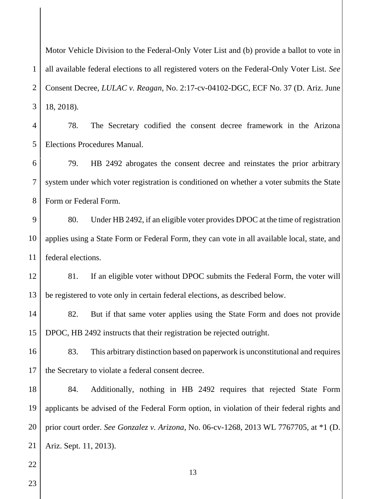$\mathfrak{D}$ 3 Motor Vehicle Division to the Federal-Only Voter List and (b) provide a ballot to vote in all available federal elections to all registered voters on the Federal-Only Voter List. *See*  Consent Decree, *LULAC v. Reagan*, No. 2:17-cv-04102-DGC, ECF No. 37 (D. Ariz. June 18, 2018).

4 5 78. The Secretary codified the consent decree framework in the Arizona Elections Procedures Manual.

6 7 8 79. HB 2492 abrogates the consent decree and reinstates the prior arbitrary system under which voter registration is conditioned on whether a voter submits the State Form or Federal Form.

9 10 11 80. Under HB 2492, if an eligible voter provides DPOC at the time of registration applies using a State Form or Federal Form, they can vote in all available local, state, and federal elections.

12 13 81. If an eligible voter without DPOC submits the Federal Form, the voter will be registered to vote only in certain federal elections, as described below.

14 15 82. But if that same voter applies using the State Form and does not provide DPOC, HB 2492 instructs that their registration be rejected outright.

16 17 83. This arbitrary distinction based on paperwork is unconstitutional and requires the Secretary to violate a federal consent decree.

18 19 20 21 84. Additionally, nothing in HB 2492 requires that rejected State Form applicants be advised of the Federal Form option, in violation of their federal rights and prior court order. *See Gonzalez v. Arizona*, No. 06-cv-1268, 2013 WL 7767705, at \*1 (D. Ariz. Sept. 11, 2013).

13

22 23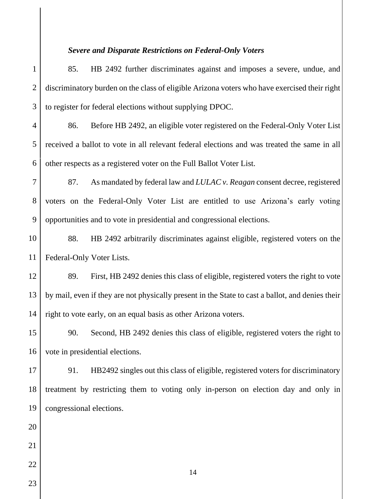#### *Severe and Disparate Restrictions on Federal-Only Voters*

1  $\mathcal{D}_{\mathcal{L}}$ 3 85. HB 2492 further discriminates against and imposes a severe, undue, and discriminatory burden on the class of eligible Arizona voters who have exercised their right to register for federal elections without supplying DPOC.

4 5 6 86. Before HB 2492, an eligible voter registered on the Federal-Only Voter List received a ballot to vote in all relevant federal elections and was treated the same in all other respects as a registered voter on the Full Ballot Voter List.

7 8 9 87. As mandated by federal law and *LULAC v. Reagan* consent decree, registered voters on the Federal-Only Voter List are entitled to use Arizona's early voting opportunities and to vote in presidential and congressional elections.

10 11 88. HB 2492 arbitrarily discriminates against eligible, registered voters on the Federal-Only Voter Lists.

12 13 14 89. First, HB 2492 denies this class of eligible, registered voters the right to vote by mail, even if they are not physically present in the State to cast a ballot, and denies their right to vote early, on an equal basis as other Arizona voters.

15 16 90. Second, HB 2492 denies this class of eligible, registered voters the right to vote in presidential elections.

17 18 19 91. HB2492 singles out this class of eligible, registered voters for discriminatory treatment by restricting them to voting only in-person on election day and only in congressional elections.

14

23

20

21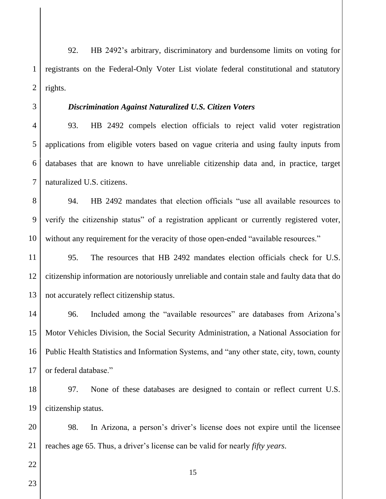1  $\mathcal{D}_{\mathcal{L}}$ 92. HB 2492's arbitrary, discriminatory and burdensome limits on voting for registrants on the Federal-Only Voter List violate federal constitutional and statutory rights.

3 4

5

#### *Discrimination Against Naturalized U.S. Citizen Voters*

6 7 93. HB 2492 compels election officials to reject valid voter registration applications from eligible voters based on vague criteria and using faulty inputs from databases that are known to have unreliable citizenship data and, in practice, target naturalized U.S. citizens.

8 9 10 94. HB 2492 mandates that election officials "use all available resources to verify the citizenship status" of a registration applicant or currently registered voter, without any requirement for the veracity of those open-ended "available resources."

11 12 13 95. The resources that HB 2492 mandates election officials check for U.S. citizenship information are notoriously unreliable and contain stale and faulty data that do not accurately reflect citizenship status.

14 15 16 17 96. Included among the "available resources" are databases from Arizona's Motor Vehicles Division, the Social Security Administration, a National Association for Public Health Statistics and Information Systems, and "any other state, city, town, county or federal database."

18 19 97. None of these databases are designed to contain or reflect current U.S. citizenship status.

20 21 98. In Arizona, a person's driver's license does not expire until the licensee reaches age 65. Thus, a driver's license can be valid for nearly *fifty years*.

- 22
- 23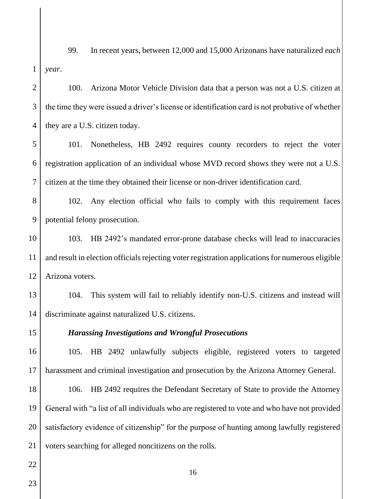1 99. In recent years, between 12,000 and 15,000 Arizonans have naturalized *each year*.

 $\mathfrak{D}$ 3 4 100. Arizona Motor Vehicle Division data that a person was not a U.S. citizen at the time they were issued a driver's license or identification card is not probative of whether they are a U.S. citizen today.

5 6 7 101. Nonetheless, HB 2492 requires county recorders to reject the voter registration application of an individual whose MVD record shows they were not a U.S. citizen at the time they obtained their license or non-driver identification card.

8 9 102. Any election official who fails to comply with this requirement faces potential felony prosecution.

10 11 12 103. HB 2492's mandated error-prone database checks will lead to inaccuracies and result in election officials rejecting voter registration applications for numerous eligible Arizona voters.

13 14 104. This system will fail to reliably identify non-U.S. citizens and instead will discriminate against naturalized U.S. citizens.

15

#### *Harassing Investigations and Wrongful Prosecutions*

16 17 105. HB 2492 unlawfully subjects eligible, registered voters to targeted harassment and criminal investigation and prosecution by the Arizona Attorney General.

18 19 20 21 106. HB 2492 requires the Defendant Secretary of State to provide the Attorney General with "a list of all individuals who are registered to vote and who have not provided satisfactory evidence of citizenship" for the purpose of hunting among lawfully registered voters searching for alleged noncitizens on the rolls.

22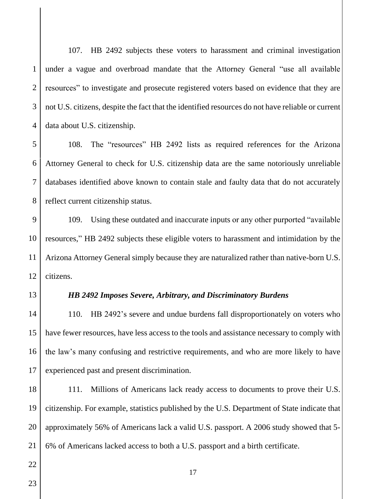1  $\mathcal{D}_{\mathcal{L}}$ 3 4 107. HB 2492 subjects these voters to harassment and criminal investigation under a vague and overbroad mandate that the Attorney General "use all available resources" to investigate and prosecute registered voters based on evidence that they are not U.S. citizens, despite the fact that the identified resources do not have reliable or current data about U.S. citizenship.

5 6 7 8 108. The "resources" HB 2492 lists as required references for the Arizona Attorney General to check for U.S. citizenship data are the same notoriously unreliable databases identified above known to contain stale and faulty data that do not accurately reflect current citizenship status.

9 10 11 12 109. Using these outdated and inaccurate inputs or any other purported "available resources," HB 2492 subjects these eligible voters to harassment and intimidation by the Arizona Attorney General simply because they are naturalized rather than native-born U.S. citizens.

13

#### *HB 2492 Imposes Severe, Arbitrary, and Discriminatory Burdens*

14 15 16 17 110. HB 2492's severe and undue burdens fall disproportionately on voters who have fewer resources, have less access to the tools and assistance necessary to comply with the law's many confusing and restrictive requirements, and who are more likely to have experienced past and present discrimination.

18 19 20 21 111. Millions of Americans lack ready access to documents to prove their U.S. citizenship. For example, statistics published by the U.S. Department of State indicate that approximately 56% of Americans lack a valid U.S. passport. A 2006 study showed that 5- 6% of Americans lacked access to both a U.S. passport and a birth certificate.

23

22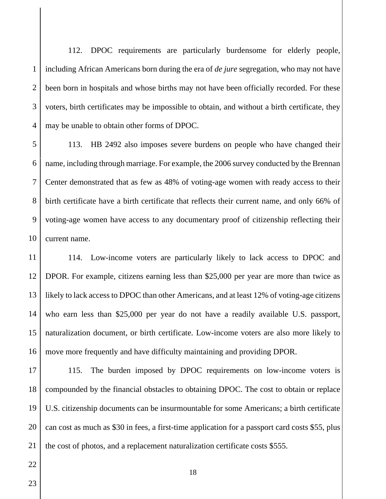1  $\mathcal{D}_{\mathcal{L}}$ 3 4 112. DPOC requirements are particularly burdensome for elderly people, including African Americans born during the era of *de jure* segregation, who may not have been born in hospitals and whose births may not have been officially recorded. For these voters, birth certificates may be impossible to obtain, and without a birth certificate, they may be unable to obtain other forms of DPOC.

5 6 7 8 9 10 113. HB 2492 also imposes severe burdens on people who have changed their name, including through marriage. For example, the 2006 survey conducted by the Brennan Center demonstrated that as few as 48% of voting-age women with ready access to their birth certificate have a birth certificate that reflects their current name, and only 66% of voting-age women have access to any documentary proof of citizenship reflecting their current name.

11 12 13 14 15 16 114. Low-income voters are particularly likely to lack access to DPOC and DPOR. For example, citizens earning less than \$25,000 per year are more than twice as likely to lack access to DPOC than other Americans, and at least 12% of voting-age citizens who earn less than \$25,000 per year do not have a readily available U.S. passport, naturalization document, or birth certificate. Low-income voters are also more likely to move more frequently and have difficulty maintaining and providing DPOR.

17 18 19 20 21 115. The burden imposed by DPOC requirements on low-income voters is compounded by the financial obstacles to obtaining DPOC. The cost to obtain or replace U.S. citizenship documents can be insurmountable for some Americans; a birth certificate can cost as much as \$30 in fees, a first-time application for a passport card costs \$55, plus the cost of photos, and a replacement naturalization certificate costs \$555.

23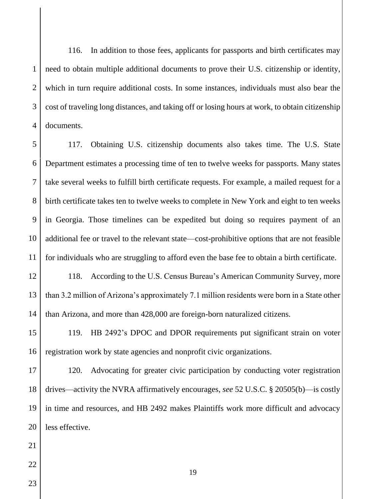1  $\mathcal{D}_{\mathcal{L}}$ 3 4 116. In addition to those fees, applicants for passports and birth certificates may need to obtain multiple additional documents to prove their U.S. citizenship or identity, which in turn require additional costs. In some instances, individuals must also bear the cost of traveling long distances, and taking off or losing hours at work, to obtain citizenship documents.

5 6 7 8 9 10 11 117. Obtaining U.S. citizenship documents also takes time. The U.S. State Department estimates a processing time of ten to twelve weeks for passports. Many states take several weeks to fulfill birth certificate requests. For example, a mailed request for a birth certificate takes ten to twelve weeks to complete in New York and eight to ten weeks in Georgia. Those timelines can be expedited but doing so requires payment of an additional fee or travel to the relevant state—cost-prohibitive options that are not feasible for individuals who are struggling to afford even the base fee to obtain a birth certificate.

12 13 14 118. According to the U.S. Census Bureau's American Community Survey, more than 3.2 million of Arizona's approximately 7.1 million residents were born in a State other than Arizona, and more than 428,000 are foreign-born naturalized citizens.

15 16 119. HB 2492's DPOC and DPOR requirements put significant strain on voter registration work by state agencies and nonprofit civic organizations.

17 18 19 20 120. Advocating for greater civic participation by conducting voter registration drives—activity the NVRA affirmatively encourages, *see* 52 U.S.C. § 20505(b)—is costly in time and resources, and HB 2492 makes Plaintiffs work more difficult and advocacy less effective.

- 21 22
- 23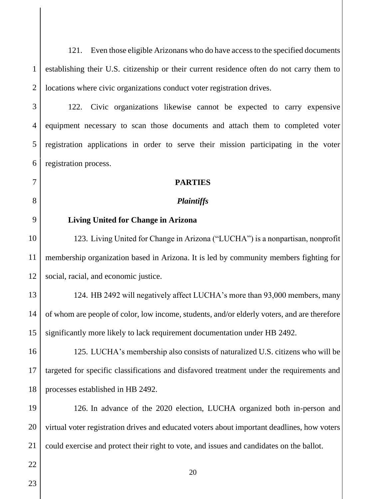1  $\mathcal{D}_{\mathcal{L}}$ 121. Even those eligible Arizonans who do have access to the specified documents establishing their U.S. citizenship or their current residence often do not carry them to locations where civic organizations conduct voter registration drives.

3 122. Civic organizations likewise cannot be expected to carry expensive equipment necessary to scan those documents and attach them to completed voter registration applications in order to serve their mission participating in the voter registration process.

#### **PARTIES**

#### *Plaintiffs*

9

4

5

6

7

8

#### **Living United for Change in Arizona**

10 11 12 123. Living United for Change in Arizona ("LUCHA") is a nonpartisan, nonprofit membership organization based in Arizona. It is led by community members fighting for social, racial, and economic justice.

13 14 15 124. HB 2492 will negatively affect LUCHA's more than 93,000 members, many of whom are people of color, low income, students, and/or elderly voters, and are therefore significantly more likely to lack requirement documentation under HB 2492.

16 17 18 125. LUCHA's membership also consists of naturalized U.S. citizens who will be targeted for specific classifications and disfavored treatment under the requirements and processes established in HB 2492.

19 20 21 126. In advance of the 2020 election, LUCHA organized both in-person and virtual voter registration drives and educated voters about important deadlines, how voters could exercise and protect their right to vote, and issues and candidates on the ballot.

23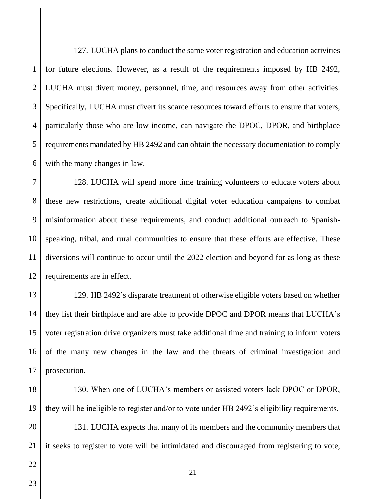1  $\mathfrak{D}$ 3 4 5 6 127. LUCHA plans to conduct the same voter registration and education activities for future elections. However, as a result of the requirements imposed by HB 2492, LUCHA must divert money, personnel, time, and resources away from other activities. Specifically, LUCHA must divert its scarce resources toward efforts to ensure that voters, particularly those who are low income, can navigate the DPOC, DPOR, and birthplace requirements mandated by HB 2492 and can obtain the necessary documentation to comply with the many changes in law.

7 8 9 10 11 12 128. LUCHA will spend more time training volunteers to educate voters about these new restrictions, create additional digital voter education campaigns to combat misinformation about these requirements, and conduct additional outreach to Spanishspeaking, tribal, and rural communities to ensure that these efforts are effective. These diversions will continue to occur until the 2022 election and beyond for as long as these requirements are in effect.

13 14 15 16 17 129. HB 2492's disparate treatment of otherwise eligible voters based on whether they list their birthplace and are able to provide DPOC and DPOR means that LUCHA's voter registration drive organizers must take additional time and training to inform voters of the many new changes in the law and the threats of criminal investigation and prosecution.

18 19

130. When one of LUCHA's members or assisted voters lack DPOC or DPOR, they will be ineligible to register and/or to vote under HB 2492's eligibility requirements.

20 21 131. LUCHA expects that many of its members and the community members that it seeks to register to vote will be intimidated and discouraged from registering to vote,

23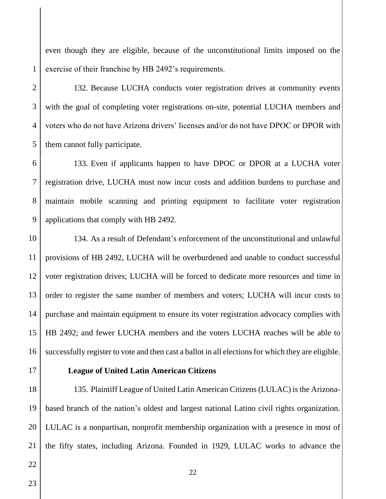even though they are eligible, because of the unconstitutional limits imposed on the exercise of their franchise by HB 2492's requirements.

1

132. Because LUCHA conducts voter registration drives at community events with the goal of completing voter registrations on-site, potential LUCHA members and voters who do not have Arizona drivers' licenses and/or do not have DPOC or DPOR with them cannot fully participate.

133. Even if applicants happen to have DPOC or DPOR at a LUCHA voter registration drive, LUCHA must now incur costs and addition burdens to purchase and maintain mobile scanning and printing equipment to facilitate voter registration applications that comply with HB 2492.

134. As a result of Defendant's enforcement of the unconstitutional and unlawful provisions of HB 2492, LUCHA will be overburdened and unable to conduct successful voter registration drives; LUCHA will be forced to dedicate more resources and time in order to register the same number of members and voters; LUCHA will incur costs to purchase and maintain equipment to ensure its voter registration advocacy complies with HB 2492; and fewer LUCHA members and the voters LUCHA reaches will be able to successfully register to vote and then cast a ballot in all elections for which they are eligible.

#### **League of United Latin American Citizens**

21 135. Plaintiff League of United Latin American Citizens (LULAC) is the Arizonabased branch of the nation's oldest and largest national Latino civil rights organization. LULAC is a nonpartisan, nonprofit membership organization with a presence in most of the fifty states, including Arizona. Founded in 1929, LULAC works to advance the

23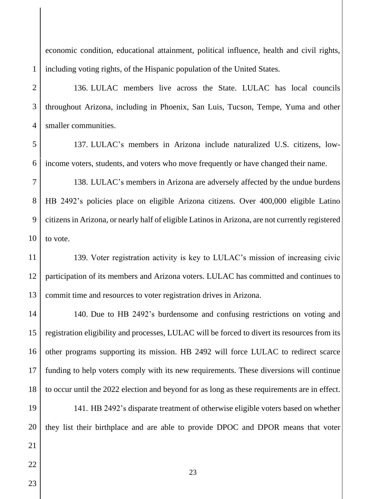economic condition, educational attainment, political influence, health and civil rights, including voting rights, of the Hispanic population of the United States.

 $\mathfrak{D}$ 3 4 136. LULAC members live across the State. LULAC has local councils throughout Arizona, including in Phoenix, San Luis, Tucson, Tempe, Yuma and other smaller communities.

137. LULAC's members in Arizona include naturalized U.S. citizens, lowincome voters, students, and voters who move frequently or have changed their name.

7 8 9 10 138. LULAC's members in Arizona are adversely affected by the undue burdens HB 2492's policies place on eligible Arizona citizens. Over 400,000 eligible Latino citizens in Arizona, or nearly half of eligible Latinos in Arizona, are not currently registered to vote.

11 12 13 139. Voter registration activity is key to LULAC's mission of increasing civic participation of its members and Arizona voters. LULAC has committed and continues to commit time and resources to voter registration drives in Arizona.

14 15 16 17 18 140. Due to HB 2492's burdensome and confusing restrictions on voting and registration eligibility and processes, LULAC will be forced to divert its resources from its other programs supporting its mission. HB 2492 will force LULAC to redirect scarce funding to help voters comply with its new requirements. These diversions will continue to occur until the 2022 election and beyond for as long as these requirements are in effect.

19 20 141. HB 2492's disparate treatment of otherwise eligible voters based on whether they list their birthplace and are able to provide DPOC and DPOR means that voter

23

21

1

5

6

23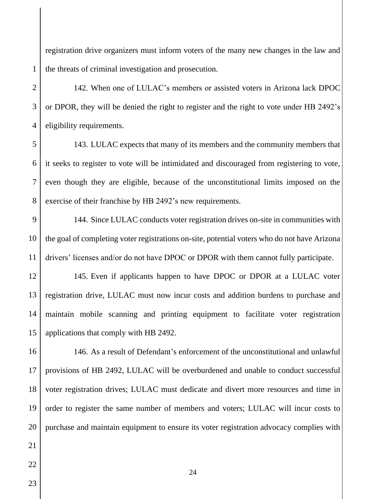registration drive organizers must inform voters of the many new changes in the law and the threats of criminal investigation and prosecution.

 $\mathfrak{D}$ 

3

4

1

142. When one of LULAC's members or assisted voters in Arizona lack DPOC or DPOR, they will be denied the right to register and the right to vote under HB 2492's eligibility requirements.

5 6 7 8 143. LULAC expects that many of its members and the community members that it seeks to register to vote will be intimidated and discouraged from registering to vote, even though they are eligible, because of the unconstitutional limits imposed on the exercise of their franchise by HB 2492's new requirements.

9 10 11 144. Since LULAC conducts voter registration drives on-site in communities with the goal of completing voter registrations on-site, potential voters who do not have Arizona drivers' licenses and/or do not have DPOC or DPOR with them cannot fully participate.

12 145. Even if applicants happen to have DPOC or DPOR at a LULAC voter registration drive, LULAC must now incur costs and addition burdens to purchase and maintain mobile scanning and printing equipment to facilitate voter registration applications that comply with HB 2492.

18 19 20 146. As a result of Defendant's enforcement of the unconstitutional and unlawful provisions of HB 2492, LULAC will be overburdened and unable to conduct successful voter registration drives; LULAC must dedicate and divert more resources and time in order to register the same number of members and voters; LULAC will incur costs to purchase and maintain equipment to ensure its voter registration advocacy complies with

23

21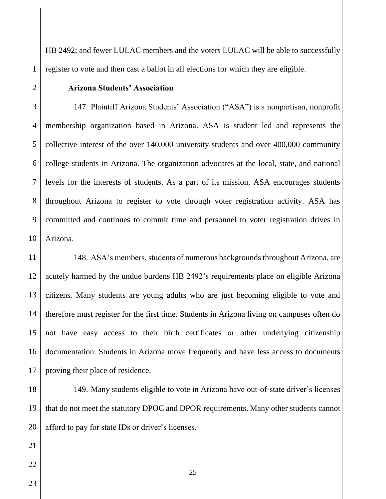HB 2492; and fewer LULAC members and the voters LULAC will be able to successfully register to vote and then cast a ballot in all elections for which they are eligible.

#### **Arizona Students' Association**

3 4 5 6 7 8 9 10 147. Plaintiff Arizona Students' Association ("ASA") is a nonpartisan, nonprofit membership organization based in Arizona. ASA is student led and represents the collective interest of the over 140,000 university students and over 400,000 community college students in Arizona. The organization advocates at the local, state, and national levels for the interests of students. As a part of its mission, ASA encourages students throughout Arizona to register to vote through voter registration activity. ASA has committed and continues to commit time and personnel to voter registration drives in Arizona.

11 12 13 14 15 16 17 148. ASA's members, students of numerous backgrounds throughout Arizona, are acutely harmed by the undue burdens HB 2492's requirements place on eligible Arizona citizens. Many students are young adults who are just becoming eligible to vote and therefore must register for the first time. Students in Arizona living on campuses often do not have easy access to their birth certificates or other underlying citizenship documentation. Students in Arizona move frequently and have less access to documents proving their place of residence.

18 19 20 149. Many students eligible to vote in Arizona have out-of-state driver's licenses that do not meet the statutory DPOC and DPOR requirements. Many other students cannot afford to pay for state IDs or driver's licenses.

23

21

22

1

 $\mathfrak{D}$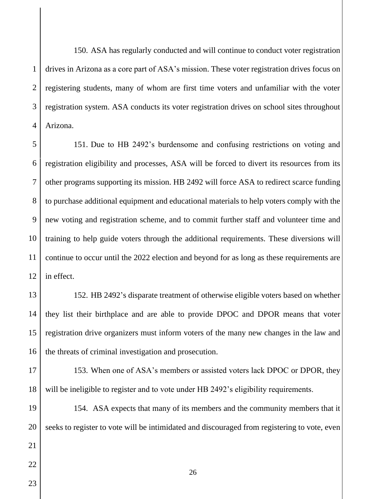1  $\mathcal{D}_{\mathcal{L}}$ 3 4 150. ASA has regularly conducted and will continue to conduct voter registration drives in Arizona as a core part of ASA's mission. These voter registration drives focus on registering students, many of whom are first time voters and unfamiliar with the voter registration system. ASA conducts its voter registration drives on school sites throughout Arizona.

5 6 7 8 9 10 11 12 151. Due to HB 2492's burdensome and confusing restrictions on voting and registration eligibility and processes, ASA will be forced to divert its resources from its other programs supporting its mission. HB 2492 will force ASA to redirect scarce funding to purchase additional equipment and educational materials to help voters comply with the new voting and registration scheme, and to commit further staff and volunteer time and training to help guide voters through the additional requirements. These diversions will continue to occur until the 2022 election and beyond for as long as these requirements are in effect.

13 14 15 16 152. HB 2492's disparate treatment of otherwise eligible voters based on whether they list their birthplace and are able to provide DPOC and DPOR means that voter registration drive organizers must inform voters of the many new changes in the law and the threats of criminal investigation and prosecution.

17 18 153. When one of ASA's members or assisted voters lack DPOC or DPOR, they will be ineligible to register and to vote under HB 2492's eligibility requirements.

19 20 154. ASA expects that many of its members and the community members that it seeks to register to vote will be intimidated and discouraged from registering to vote, even

26

23

21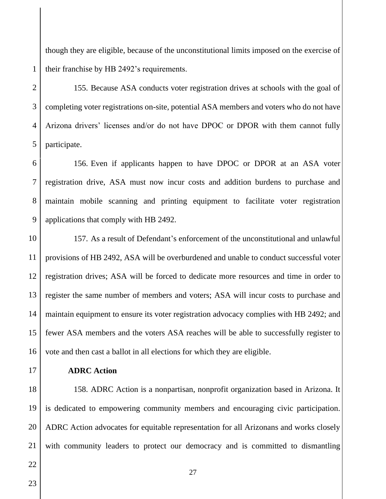though they are eligible, because of the unconstitutional limits imposed on the exercise of their franchise by HB 2492's requirements.

# $\mathfrak{D}$

5

1

3 4 155. Because ASA conducts voter registration drives at schools with the goal of completing voter registrations on-site, potential ASA members and voters who do not have Arizona drivers' licenses and/or do not have DPOC or DPOR with them cannot fully participate.

6 7 8 9 156. Even if applicants happen to have DPOC or DPOR at an ASA voter registration drive, ASA must now incur costs and addition burdens to purchase and maintain mobile scanning and printing equipment to facilitate voter registration applications that comply with HB 2492.

10 11 12 13 14 15 16 157. As a result of Defendant's enforcement of the unconstitutional and unlawful provisions of HB 2492, ASA will be overburdened and unable to conduct successful voter registration drives; ASA will be forced to dedicate more resources and time in order to register the same number of members and voters; ASA will incur costs to purchase and maintain equipment to ensure its voter registration advocacy complies with HB 2492; and fewer ASA members and the voters ASA reaches will be able to successfully register to vote and then cast a ballot in all elections for which they are eligible.

17

### **ADRC Action**

18 19 20 21 158. ADRC Action is a nonpartisan, nonprofit organization based in Arizona. It is dedicated to empowering community members and encouraging civic participation. ADRC Action advocates for equitable representation for all Arizonans and works closely with community leaders to protect our democracy and is committed to dismantling

- 22
- 23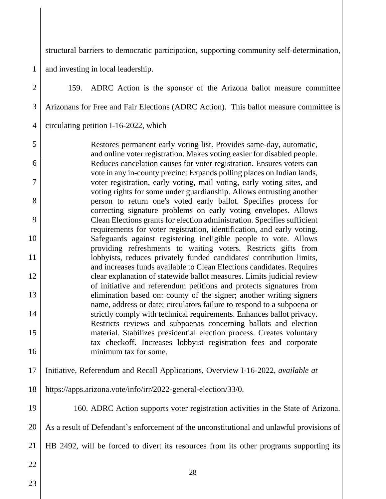structural barriers to democratic participation, supporting community self-determination,

1 and investing in local leadership.

28  $\mathfrak{D}$ 3 4 5 6 7 8 9 10 11 12 13 14 15 16 17 18 19 20 21 22 23 159. ADRC Action is the sponsor of the Arizona ballot measure committee Arizonans for Free and Fair Elections (ADRC Action). This ballot measure committee is circulating petition I-16-2022, which Restores permanent early voting list. Provides same-day, automatic, and online voter registration. Makes voting easier for disabled people. Reduces cancelation causes for voter registration. Ensures voters can vote in any in-county precinct Expands polling places on Indian lands, voter registration, early voting, mail voting, early voting sites, and voting rights for some under guardianship. Allows entrusting another person to return one's voted early ballot. Specifies process for correcting signature problems on early voting envelopes. Allows Clean Elections grants for election administration. Specifies sufficient requirements for voter registration, identification, and early voting. Safeguards against registering ineligible people to vote. Allows providing refreshments to waiting voters. Restricts gifts from lobbyists, reduces privately funded candidates' contribution limits, and increases funds available to Clean Elections candidates. Requires clear explanation of statewide ballot measures. Limits judicial review of initiative and referendum petitions and protects signatures from elimination based on: county of the signer; another writing signers name, address or date; circulators failure to respond to a subpoena or strictly comply with technical requirements. Enhances ballot privacy. Restricts reviews and subpoenas concerning ballots and election material. Stabilizes presidential election process. Creates voluntary tax checkoff. Increases lobbyist registration fees and corporate minimum tax for some. Initiative, Referendum and Recall Applications, Overview I-16-2022, *available at*  https://apps.arizona.vote/info/irr/2022-general-election/33/0. 160. ADRC Action supports voter registration activities in the State of Arizona. As a result of Defendant's enforcement of the unconstitutional and unlawful provisions of HB 2492, will be forced to divert its resources from its other programs supporting its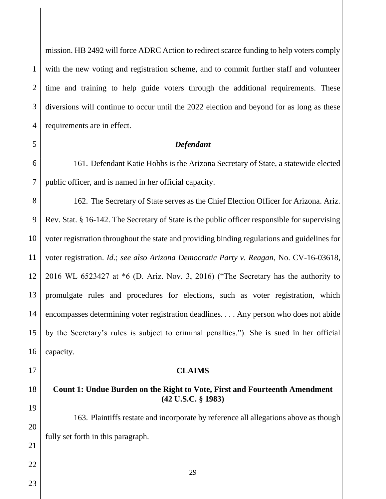mission. HB 2492 will force ADRC Action to redirect scarce funding to help voters comply with the new voting and registration scheme, and to commit further staff and volunteer time and training to help guide voters through the additional requirements. These diversions will continue to occur until the 2022 election and beyond for as long as these requirements are in effect.

#### *Defendant*

6 7 161. Defendant Katie Hobbs is the Arizona Secretary of State, a statewide elected public officer, and is named in her official capacity.

8 9 10 11 12 13 14 15 16 162. The Secretary of State serves as the Chief Election Officer for Arizona. Ariz. Rev. Stat. § 16-142. The Secretary of State is the public officer responsible for supervising voter registration throughout the state and providing binding regulations and guidelines for voter registration. *Id*.; *see also Arizona Democratic Party v. Reagan*, No. CV-16-03618, 2016 WL 6523427 at \*6 (D. Ariz. Nov. 3, 2016) ("The Secretary has the authority to promulgate rules and procedures for elections, such as voter registration, which encompasses determining voter registration deadlines. . . . Any person who does not abide by the Secretary's rules is subject to criminal penalties."). She is sued in her official capacity.

## **Count 1: Undue Burden on the Right to Vote, First and Fourteenth Amendment (42 U.S.C. § 1983)**

**CLAIMS**

163. Plaintiffs restate and incorporate by reference all allegations above as though fully set forth in this paragraph.

23

22

17

18

19

20

21

1

 $\mathcal{D}_{\mathcal{L}}$ 

3

4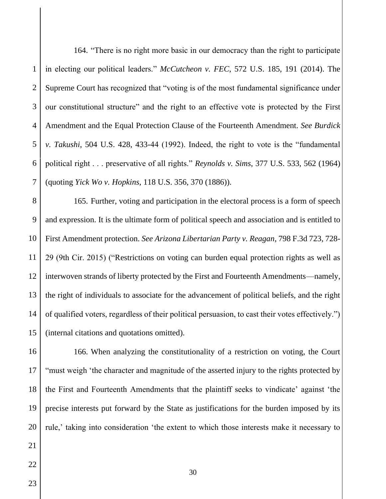1  $\mathcal{D}_{\mathcal{L}}$ 3 4 5 6 7 164. "There is no right more basic in our democracy than the right to participate in electing our political leaders." *McCutcheon v. FEC*, 572 U.S. 185, 191 (2014). The Supreme Court has recognized that "voting is of the most fundamental significance under our constitutional structure" and the right to an effective vote is protected by the First Amendment and the Equal Protection Clause of the Fourteenth Amendment. *See Burdick v. Takushi*, 504 U.S. 428, 433-44 (1992). Indeed, the right to vote is the "fundamental political right . . . preservative of all rights." *Reynolds v. Sims*, 377 U.S. 533, 562 (1964) (quoting *Yick Wo v. Hopkins*, 118 U.S. 356, 370 (1886)).

8 9 10 11 12 13 14 15 165. Further, voting and participation in the electoral process is a form of speech and expression. It is the ultimate form of political speech and association and is entitled to First Amendment protection. *See Arizona Libertarian Party v. Reagan*, 798 F.3d 723, 728- 29 (9th Cir. 2015) ("Restrictions on voting can burden equal protection rights as well as interwoven strands of liberty protected by the First and Fourteenth Amendments—namely, the right of individuals to associate for the advancement of political beliefs, and the right of qualified voters, regardless of their political persuasion, to cast their votes effectively.") (internal citations and quotations omitted).

16 17 18 19 20 166. When analyzing the constitutionality of a restriction on voting, the Court "must weigh 'the character and magnitude of the asserted injury to the rights protected by the First and Fourteenth Amendments that the plaintiff seeks to vindicate' against 'the precise interests put forward by the State as justifications for the burden imposed by its rule,' taking into consideration 'the extent to which those interests make it necessary to

23

22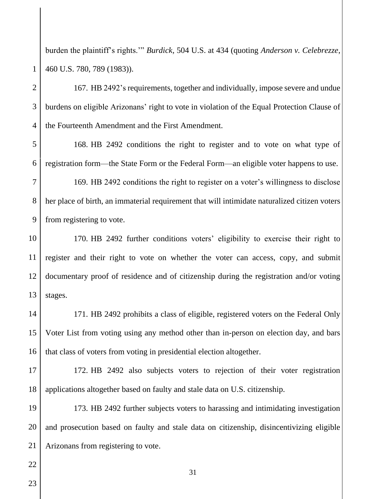burden the plaintiff's rights.'" *Burdick*, 504 U.S. at 434 (quoting *Anderson v. Celebrezze*, 460 U.S. 780, 789 (1983)).

 $\mathfrak{D}$ 3 4

1

167. HB 2492's requirements, together and individually, impose severe and undue burdens on eligible Arizonans' right to vote in violation of the Equal Protection Clause of the Fourteenth Amendment and the First Amendment.

5 6 168. HB 2492 conditions the right to register and to vote on what type of registration form—the State Form or the Federal Form—an eligible voter happens to use.

7 8 9 169. HB 2492 conditions the right to register on a voter's willingness to disclose her place of birth, an immaterial requirement that will intimidate naturalized citizen voters from registering to vote.

10 11 12 13 170. HB 2492 further conditions voters' eligibility to exercise their right to register and their right to vote on whether the voter can access, copy, and submit documentary proof of residence and of citizenship during the registration and/or voting stages.

14 15 16 171. HB 2492 prohibits a class of eligible, registered voters on the Federal Only Voter List from voting using any method other than in-person on election day, and bars that class of voters from voting in presidential election altogether.

17 18 172. HB 2492 also subjects voters to rejection of their voter registration applications altogether based on faulty and stale data on U.S. citizenship.

19 20 21 173. HB 2492 further subjects voters to harassing and intimidating investigation and prosecution based on faulty and stale data on citizenship, disincentivizing eligible Arizonans from registering to vote.

23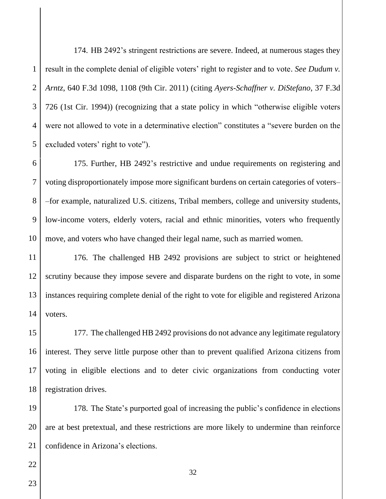1  $\mathcal{D}_{\mathcal{L}}$ 3 4 5 174. HB 2492's stringent restrictions are severe. Indeed, at numerous stages they result in the complete denial of eligible voters' right to register and to vote. *See Dudum v. Arntz*, 640 F.3d 1098, 1108 (9th Cir. 2011) (citing *Ayers-Schaffner v. DiStefano*, 37 F.3d 726 (1st Cir. 1994)) (recognizing that a state policy in which "otherwise eligible voters were not allowed to vote in a determinative election" constitutes a "severe burden on the excluded voters' right to vote").

6 7 8 9 10 175. Further, HB 2492's restrictive and undue requirements on registering and voting disproportionately impose more significant burdens on certain categories of voters– –for example, naturalized U.S. citizens, Tribal members, college and university students, low-income voters, elderly voters, racial and ethnic minorities, voters who frequently move, and voters who have changed their legal name, such as married women.

11 12 13 14 176. The challenged HB 2492 provisions are subject to strict or heightened scrutiny because they impose severe and disparate burdens on the right to vote, in some instances requiring complete denial of the right to vote for eligible and registered Arizona voters.

15 16 17 18 177. The challenged HB 2492 provisions do not advance any legitimate regulatory interest. They serve little purpose other than to prevent qualified Arizona citizens from voting in eligible elections and to deter civic organizations from conducting voter registration drives.

19 20 21 178. The State's purported goal of increasing the public's confidence in elections are at best pretextual, and these restrictions are more likely to undermine than reinforce confidence in Arizona's elections.

23

22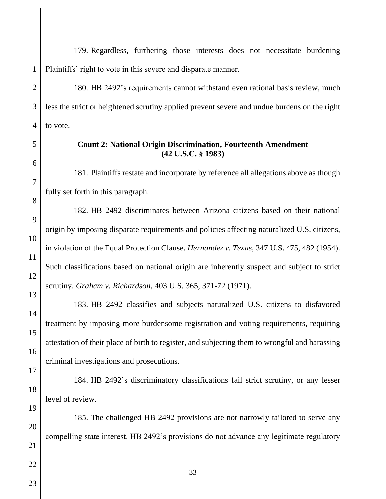1 179. Regardless, furthering those interests does not necessitate burdening Plaintiffs' right to vote in this severe and disparate manner.

 $\mathfrak{D}$ 3 4 180. HB 2492's requirements cannot withstand even rational basis review, much less the strict or heightened scrutiny applied prevent severe and undue burdens on the right to vote.

#### **Count 2: National Origin Discrimination, Fourteenth Amendment (42 U.S.C. § 1983)**

181. Plaintiffs restate and incorporate by reference all allegations above as though fully set forth in this paragraph.

182. HB 2492 discriminates between Arizona citizens based on their national origin by imposing disparate requirements and policies affecting naturalized U.S. citizens, in violation of the Equal Protection Clause. *Hernandez v. Texas*, 347 U.S. 475, 482 (1954). Such classifications based on national origin are inherently suspect and subject to strict scrutiny. *Graham v. Richardson*, 403 U.S. 365, 371-72 (1971).

183. HB 2492 classifies and subjects naturalized U.S. citizens to disfavored treatment by imposing more burdensome registration and voting requirements, requiring attestation of their place of birth to register, and subjecting them to wrongful and harassing criminal investigations and prosecutions.

184. HB 2492's discriminatory classifications fail strict scrutiny, or any lesser level of review.

185. The challenged HB 2492 provisions are not narrowly tailored to serve any compelling state interest. HB 2492's provisions do not advance any legitimate regulatory

5

6

7

8

9

10

11

12

13

14

15

16

17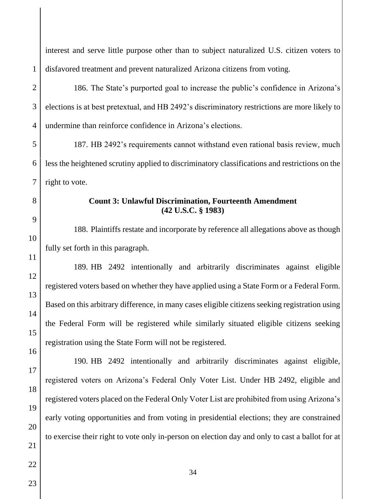disfavored treatment and prevent naturalized Arizona citizens from voting.

1

 $\mathfrak{D}$ 

3

4

186. The State's purported goal to increase the public's confidence in Arizona's elections is at best pretextual, and HB 2492's discriminatory restrictions are more likely to undermine than reinforce confidence in Arizona's elections.

interest and serve little purpose other than to subject naturalized U.S. citizen voters to

5 6 7 187. HB 2492's requirements cannot withstand even rational basis review, much less the heightened scrutiny applied to discriminatory classifications and restrictions on the right to vote.

# 9

10

11

12

13

14

15

16

8

#### **Count 3: Unlawful Discrimination, Fourteenth Amendment (42 U.S.C. § 1983)**

188. Plaintiffs restate and incorporate by reference all allegations above as though fully set forth in this paragraph.

189. HB 2492 intentionally and arbitrarily discriminates against eligible registered voters based on whether they have applied using a State Form or a Federal Form. Based on this arbitrary difference, in many cases eligible citizens seeking registration using the Federal Form will be registered while similarly situated eligible citizens seeking registration using the State Form will not be registered.

190. HB 2492 intentionally and arbitrarily discriminates against eligible, registered voters on Arizona's Federal Only Voter List. Under HB 2492, eligible and registered voters placed on the Federal Only Voter List are prohibited from using Arizona's early voting opportunities and from voting in presidential elections; they are constrained to exercise their right to vote only in-person on election day and only to cast a ballot for at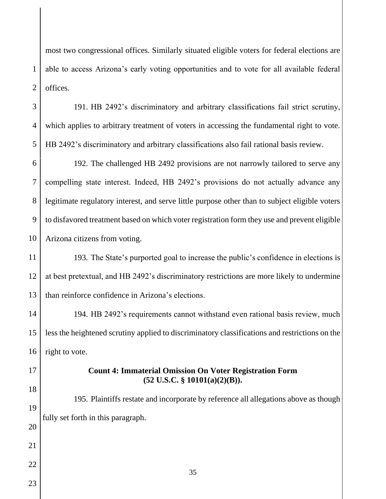most two congressional offices. Similarly situated eligible voters for federal elections are able to access Arizona's early voting opportunities and to vote for all available federal offices.

191. HB 2492's discriminatory and arbitrary classifications fail strict scrutiny, which applies to arbitrary treatment of voters in accessing the fundamental right to vote. HB 2492's discriminatory and arbitrary classifications also fail rational basis review.

6 7 8 9 10 192. The challenged HB 2492 provisions are not narrowly tailored to serve any compelling state interest. Indeed, HB 2492's provisions do not actually advance any legitimate regulatory interest, and serve little purpose other than to subject eligible voters to disfavored treatment based on which voter registration form they use and prevent eligible Arizona citizens from voting.

11 12 13 193. The State's purported goal to increase the public's confidence in elections is at best pretextual, and HB 2492's discriminatory restrictions are more likely to undermine than reinforce confidence in Arizona's elections.

14 15 16 194. HB 2492's requirements cannot withstand even rational basis review, much less the heightened scrutiny applied to discriminatory classifications and restrictions on the right to vote.

17

18

19

20

21

22

1

 $\mathcal{L}$ 

3

4

5

#### **Count 4: Immaterial Omission On Voter Registration Form (52 U.S.C. § 10101(a)(2)(B)).**

195. Plaintiffs restate and incorporate by reference all allegations above as though fully set forth in this paragraph.

35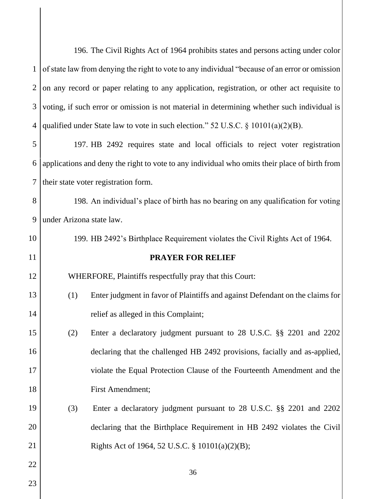|                | 196. The Civil Rights Act of 1964 prohibits states and persons acting under color              |  |  |
|----------------|------------------------------------------------------------------------------------------------|--|--|
| $\mathbf{1}$   | of state law from denying the right to vote to any individual "because of an error or omission |  |  |
| $\overline{2}$ | on any record or paper relating to any application, registration, or other act requisite to    |  |  |
| 3              | voting, if such error or omission is not material in determining whether such individual is    |  |  |
| 4              | qualified under State law to vote in such election." 52 U.S.C. $\S$ 10101(a)(2)(B).            |  |  |
| 5              | 197. HB 2492 requires state and local officials to reject voter registration                   |  |  |
| 6              | applications and deny the right to vote to any individual who omits their place of birth from  |  |  |
| 7              | their state voter registration form.                                                           |  |  |
| 8              | 198. An individual's place of birth has no bearing on any qualification for voting             |  |  |
| 9              | under Arizona state law.                                                                       |  |  |
| 10             | 199. HB 2492's Birthplace Requirement violates the Civil Rights Act of 1964.                   |  |  |
| 11             | <b>PRAYER FOR RELIEF</b>                                                                       |  |  |
| 12             | WHERFORE, Plaintiffs respectfully pray that this Court:                                        |  |  |
| 13             | Enter judgment in favor of Plaintiffs and against Defendant on the claims for<br>(1)           |  |  |
| 14             | relief as alleged in this Complaint;                                                           |  |  |
| 15             | (2)<br>Enter a declaratory judgment pursuant to 28 U.S.C. §§ 2201 and 2202                     |  |  |
| 16             | declaring that the challenged HB 2492 provisions, facially and as-applied,                     |  |  |
| 17             | violate the Equal Protection Clause of the Fourteenth Amendment and the                        |  |  |
| 18             | First Amendment;                                                                               |  |  |
| 19             | (3)<br>Enter a declaratory judgment pursuant to 28 U.S.C. §§ 2201 and 2202                     |  |  |
| 20             | declaring that the Birthplace Requirement in HB 2492 violates the Civil                        |  |  |
| 21             | Rights Act of 1964, 52 U.S.C. § 10101(a)(2)(B);                                                |  |  |
| 22             | 36                                                                                             |  |  |
| 23             |                                                                                                |  |  |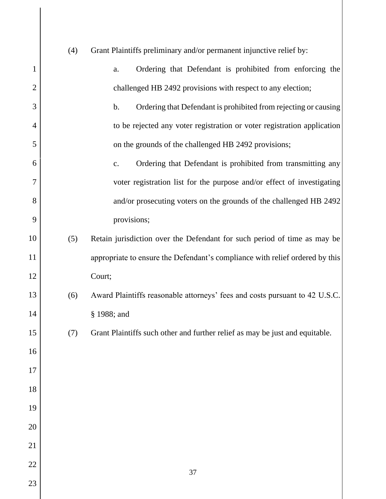|                | (4) | Grant Plaintiffs preliminary and/or permanent injunctive relief by:          |
|----------------|-----|------------------------------------------------------------------------------|
|                |     |                                                                              |
| 1              |     | Ordering that Defendant is prohibited from enforcing the<br>a.               |
| $\overline{2}$ |     | challenged HB 2492 provisions with respect to any election;                  |
| 3              |     | Ordering that Defendant is prohibited from rejecting or causing<br>b.        |
| $\overline{4}$ |     | to be rejected any voter registration or voter registration application      |
| 5              |     | on the grounds of the challenged HB 2492 provisions;                         |
| 6              |     | Ordering that Defendant is prohibited from transmitting any<br>c.            |
| 7              |     | voter registration list for the purpose and/or effect of investigating       |
| 8              |     | and/or prosecuting voters on the grounds of the challenged HB 2492           |
| 9              |     | provisions;                                                                  |
| 10             | (5) | Retain jurisdiction over the Defendant for such period of time as may be     |
| 11             |     | appropriate to ensure the Defendant's compliance with relief ordered by this |
| 12             |     | Court;                                                                       |
| 13             | (6) | Award Plaintiffs reasonable attorneys' fees and costs pursuant to 42 U.S.C.  |
| 14             |     | § 1988; and                                                                  |
| 15             | (7) | Grant Plaintiffs such other and further relief as may be just and equitable. |
| 16             |     |                                                                              |
| 17             |     |                                                                              |
| 18             |     |                                                                              |
| 19             |     |                                                                              |
| 20             |     |                                                                              |
| 21             |     |                                                                              |
| 22             |     |                                                                              |
| 23             |     | 37                                                                           |